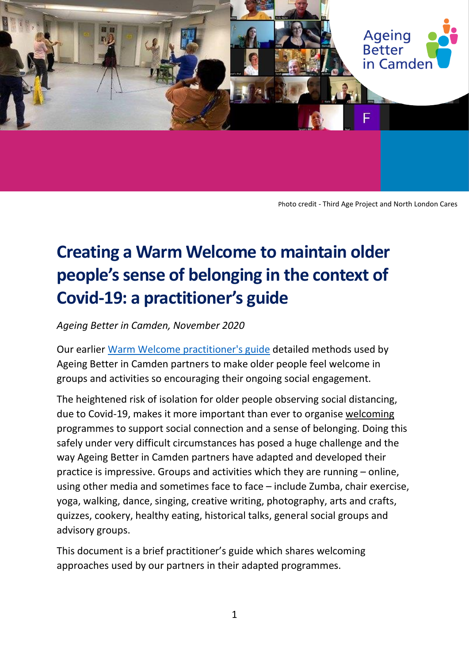

Photo credit - Third Age Project and North London Cares

# **Creating a Warm Welcome to maintain older people's sense of belonging in the context of Covid-19: a practitioner's guide**

*Ageing Better in Camden, November 2020*

Our earlier [Warm Welcome practitioner's guide](http://www.ageingbetterincamden.org.uk/warm-welcome-approach) detailed methods used by Ageing Better in Camden partners to make older people feel welcome in groups and activities so encouraging their ongoing social engagement.

The heightened risk of isolation for older people observing social distancing, due to Covid-19, makes it more important than ever to organise welcoming programmes to support social connection and a sense of belonging. Doing this safely under very difficult circumstances has posed a huge challenge and the way Ageing Better in Camden partners have adapted and developed their practice is impressive. Groups and activities which they are running – online, using other media and sometimes face to face – include Zumba, chair exercise, yoga, walking, dance, singing, creative writing, photography, arts and crafts, quizzes, cookery, healthy eating, historical talks, general social groups and advisory groups.

This document is a brief practitioner's guide which shares welcoming approaches used by our partners in their adapted programmes.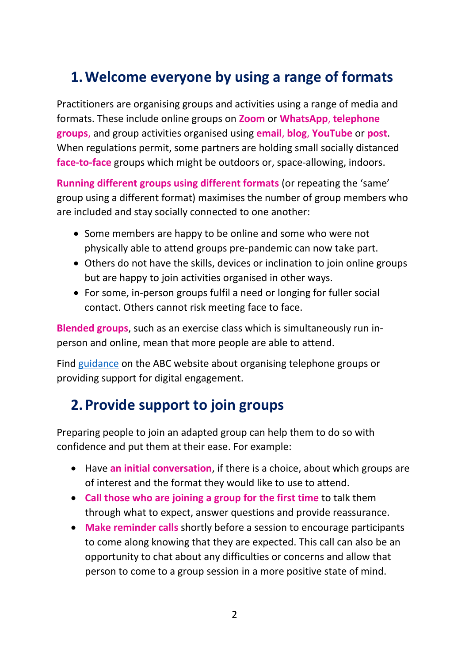### **1.Welcome everyone by using a range of formats**

Practitioners are organising groups and activities using a range of media and formats. These include online groups on **Zoom** or **WhatsApp**, **telephone groups**, and group activities organised using **email**, **blog**, **YouTube** or **post**. When regulations permit, some partners are holding small socially distanced **face-to-face** groups which might be outdoors or, space-allowing, indoors.

**Running different groups using different formats** (or repeating the 'same' group using a different format) maximises the number of group members who are included and stay socially connected to one another:

- Some members are happy to be online and some who were not physically able to attend groups pre-pandemic can now take part.
- Others do not have the skills, devices or inclination to join online groups but are happy to join activities organised in other ways.
- For some, in-person groups fulfil a need or longing for fuller social contact. Others cannot risk meeting face to face.

**Blended groups**, such as an exercise class which is simultaneously run inperson and online, mean that more people are able to attend.

Find [guidance](http://www.ageingbetterincamden.org.uk/bridging-the-digital-divide) on the ABC website about organising telephone groups or providing support for digital engagement.

### **2.Provide support to join groups**

Preparing people to join an adapted group can help them to do so with confidence and put them at their ease. For example:

- Have **an initial conversation**, if there is a choice, about which groups are of interest and the format they would like to use to attend.
- **Call those who are joining a group for the first time** to talk them through what to expect, answer questions and provide reassurance.
- **Make reminder calls** shortly before a session to encourage participants to come along knowing that they are expected. This call can also be an opportunity to chat about any difficulties or concerns and allow that person to come to a group session in a more positive state of mind.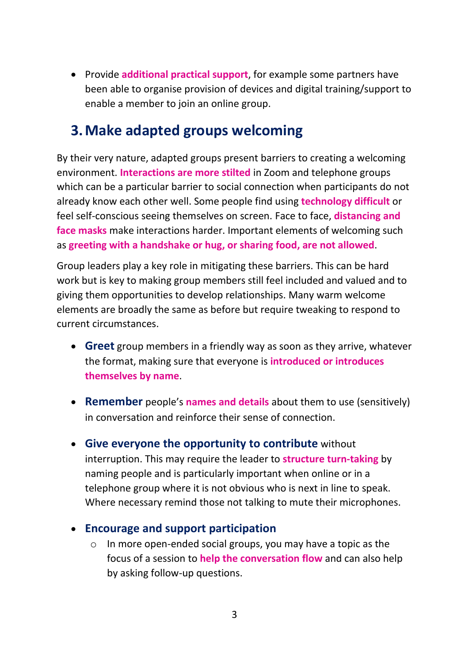• Provide **additional practical support**, for example some partners have been able to organise provision of devices and digital training/support to enable a member to join an online group.

### **3.Make adapted groups welcoming**

By their very nature, adapted groups present barriers to creating a welcoming environment. **Interactions are more stilted** in Zoom and telephone groups which can be a particular barrier to social connection when participants do not already know each other well. Some people find using **technology difficult** or feel self-conscious seeing themselves on screen. Face to face, **distancing and face masks** make interactions harder. Important elements of welcoming such as **greeting with a handshake or hug, or sharing food, are not allowed**.

Group leaders play a key role in mitigating these barriers. This can be hard work but is key to making group members still feel included and valued and to giving them opportunities to develop relationships. Many warm welcome elements are broadly the same as before but require tweaking to respond to current circumstances.

- **Greet** group members in a friendly way as soon as they arrive, whatever the format, making sure that everyone is **introduced or introduces themselves by name**.
- **Remember** people's **names and details** about them to use (sensitively) in conversation and reinforce their sense of connection.
- **Give everyone the opportunity to contribute** without interruption. This may require the leader to **structure turn-taking** by naming people and is particularly important when online or in a telephone group where it is not obvious who is next in line to speak. Where necessary remind those not talking to mute their microphones.

#### • **Encourage and support participation**

o In more open-ended social groups, you may have a topic as the focus of a session to **help the conversation flow** and can also help by asking follow-up questions.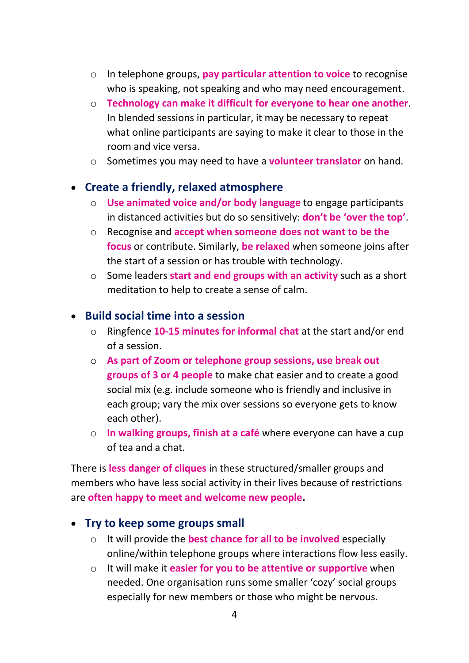- o In telephone groups, **pay particular attention to voice** to recognise who is speaking, not speaking and who may need encouragement.
- o **Technology can make it difficult for everyone to hear one another**. In blended sessions in particular, it may be necessary to repeat what online participants are saying to make it clear to those in the room and vice versa.
- o Sometimes you may need to have a **volunteer translator** on hand.

#### • **Create a friendly, relaxed atmosphere**

- o **Use animated voice and/or body language** to engage participants in distanced activities but do so sensitively: **don't be 'over the top'**.
- o Recognise and **accept when someone does not want to be the focus** or contribute. Similarly, **be relaxed** when someone joins after the start of a session or has trouble with technology.
- o Some leaders **start and end groups with an activity** such as a short meditation to help to create a sense of calm.

#### • **Build social time into a session**

- o Ringfence **10-15 minutes for informal chat** at the start and/or end of a session.
- o **As part of Zoom or telephone group sessions, use break out groups of 3 or 4 people** to make chat easier and to create a good social mix (e.g. include someone who is friendly and inclusive in each group; vary the mix over sessions so everyone gets to know each other).
- o **In walking groups, finish at a café** where everyone can have a cup of tea and a chat.

There is **less danger of cliques** in these structured/smaller groups and members who have less social activity in their lives because of restrictions are **often happy to meet and welcome new people.**

#### • **Try to keep some groups small**

- o It will provide the **best chance for all to be involved** especially online/within telephone groups where interactions flow less easily.
- o It will make it **easier for you to be attentive or supportive** when needed. One organisation runs some smaller 'cozy' social groups especially for new members or those who might be nervous.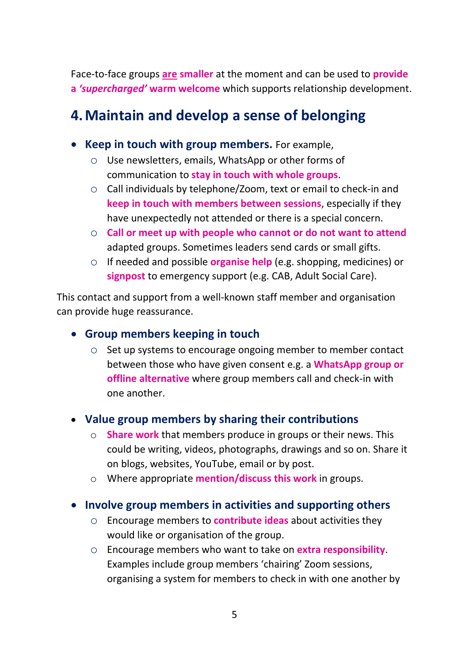Face-to-face groups **are smaller** at the moment and can be used to **provide a** *'supercharged'* **warm welcome** which supports relationship development.

### **4.Maintain and develop a sense of belonging**

- **Keep in touch with group members.** For example,
	- o Use newsletters, emails, WhatsApp or other forms of communication to **stay in touch with whole groups**.
	- o Call individuals by telephone/Zoom, text or email to check-in and **keep in touch with members between sessions**, especially if they have unexpectedly not attended or there is a special concern.
	- o **Call or meet up with people who cannot or do not want to attend** adapted groups. Sometimes leaders send cards or small gifts.
	- o If needed and possible **organise help** (e.g. shopping, medicines) or **signpost** to emergency support (e.g. CAB, Adult Social Care).

This contact and support from a well-known staff member and organisation can provide huge reassurance.

#### • **Group members keeping in touch**

o Set up systems to encourage ongoing member to member contact between those who have given consent e.g. a **WhatsApp group or offline alternative** where group members call and check-in with one another.

#### • **Value group members by sharing their contributions**

- o **Share work** that members produce in groups or their news. This could be writing, videos, photographs, drawings and so on. Share it on blogs, websites, YouTube, email or by post.
- o Where appropriate **mention/discuss this work** in groups.

#### • **Involve group members in activities and supporting others**

- o Encourage members to **contribute ideas** about activities they would like or organisation of the group.
- o Encourage members who want to take on **extra responsibility**. Examples include group members 'chairing' Zoom sessions, organising a system for members to check in with one another by